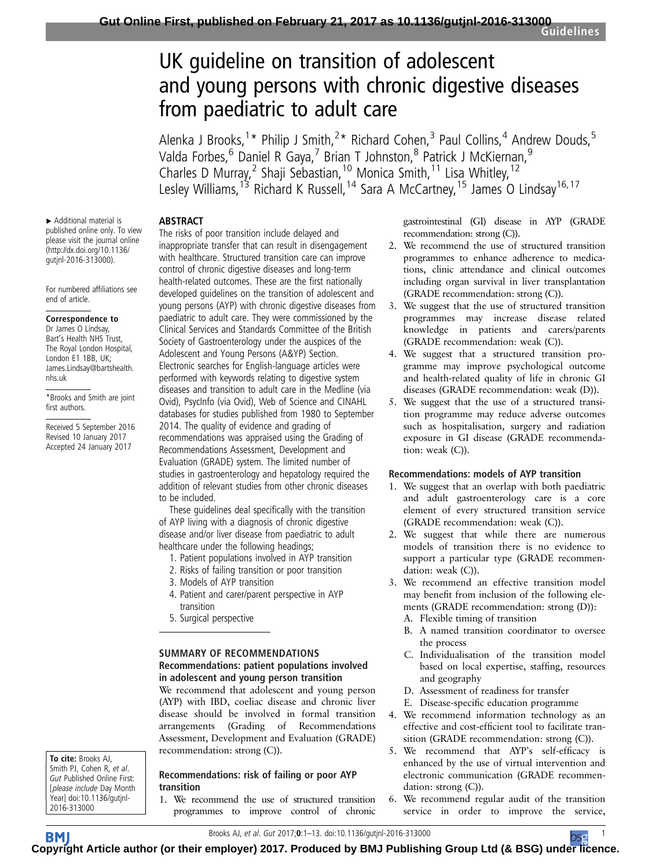# UK guideline on transition of adolescent and young persons with chronic digestive diseases from paediatric to adult care

Alenka J Brooks,<sup>1\*</sup> Philip J Smith,<sup>2\*</sup> Richard Cohen,<sup>3</sup> Paul Collins,<sup>4</sup> Andrew Douds,<sup>5</sup> Valda Forbes,<sup>6</sup> Daniel R Gaya,<sup>7</sup> Brian T Johnston,<sup>8</sup> Patrick J McKiernan,<sup>9</sup> Charles D Murray,<sup>2</sup> Shaji Sebastian,<sup>10</sup> Monica Smith,<sup>11</sup> Lisa Whitley,<sup>12</sup> Lesley Williams,<sup>13</sup> Richard K Russell,<sup>14</sup> Sara A McCartney,<sup>15</sup> James O Lindsay<sup>16,17</sup>

# ABSTRACT

▸ Additional material is published online only. To view please visit the journal online [\(http://dx.doi.org/10.1136/](http://dx.doi.org/10.1136/gutjnl-2016-313000) [gutjnl-2016-313000](http://dx.doi.org/10.1136/gutjnl-2016-313000)).

For numbered affiliations see end of article.

#### Correspondence to

Dr James O Lindsay, Bart's Health NHS Trust, The Royal London Hospital, London E1 1BB, UK; James.Lindsay@bartshealth. nhs.uk

\*Brooks and Smith are joint first authors.

Received 5 September 2016 Revised 10 January 2017 Accepted 24 January 2017

To cite: Brooks AJ, Smith PJ, Cohen R, et al. Gut Published Online First: [please include Day Month Year] doi:10.1136/gutjnl-2016-313000

The risks of poor transition include delayed and inappropriate transfer that can result in disengagement with healthcare. Structured transition care can improve control of chronic digestive diseases and long-term health-related outcomes. These are the first nationally developed guidelines on the transition of adolescent and young persons (AYP) with chronic digestive diseases from paediatric to adult care. They were commissioned by the Clinical Services and Standards Committee of the British Society of Gastroenterology under the auspices of the Adolescent and Young Persons (A&YP) Section. Electronic searches for English-language articles were performed with keywords relating to digestive system diseases and transition to adult care in the Medline (via Ovid), PsycInfo (via Ovid), Web of Science and CINAHL databases for studies published from 1980 to September 2014. The quality of evidence and grading of recommendations was appraised using the Grading of Recommendations Assessment, Development and Evaluation (GRADE) system. The limited number of studies in gastroenterology and hepatology required the addition of relevant studies from other chronic diseases to be included.

These guidelines deal specifically with the transition of AYP living with a diagnosis of chronic digestive disease and/or liver disease from paediatric to adult healthcare under the following headings;

- 1. Patient populations involved in AYP transition
- 2. Risks of failing transition or poor transition
- 3. Models of AYP transition
- 4. Patient and carer/parent perspective in AYP transition
- 5. Surgical perspective

#### SUMMARY OF RECOMMENDATIONS Recommendations: patient populations involved in adolescent and young person transition

We recommend that adolescent and young person (AYP) with IBD, coeliac disease and chronic liver disease should be involved in formal transition arrangements (Grading of Recommendations Assessment, Development and Evaluation (GRADE) recommendation: strong (C)).

#### Recommendations: risk of failing or poor AYP transition

1. We recommend the use of structured transition programmes to improve control of chronic gastrointestinal (GI) disease in AYP (GRADE recommendation: strong (C)).

- 2. We recommend the use of structured transition programmes to enhance adherence to medications, clinic attendance and clinical outcomes including organ survival in liver transplantation (GRADE recommendation: strong (C)).
- 3. We suggest that the use of structured transition programmes may increase disease related knowledge in patients and carers/parents (GRADE recommendation: weak (C)).
- 4. We suggest that a structured transition programme may improve psychological outcome and health-related quality of life in chronic GI diseases (GRADE recommendation: weak (D)).
- 5. We suggest that the use of a structured transition programme may reduce adverse outcomes such as hospitalisation, surgery and radiation exposure in GI disease (GRADE recommendation: weak (C)).

# Recommendations: models of AYP transition

- 1. We suggest that an overlap with both paediatric and adult gastroenterology care is a core element of every structured transition service (GRADE recommendation: weak (C)).
- 2. We suggest that while there are numerous models of transition there is no evidence to support a particular type (GRADE recommendation: weak (C)).
- 3. We recommend an effective transition model may benefit from inclusion of the following elements (GRADE recommendation: strong (D)):
	- A. Flexible timing of transition
	- B. A named transition coordinator to oversee the process
	- C. Individualisation of the transition model based on local expertise, staffing, resources and geography
	- D. Assessment of readiness for transfer
	- E. Disease-specific education programme
- 4. We recommend information technology as an effective and cost-efficient tool to facilitate transition (GRADE recommendation: strong (C)).
- 5. We recommend that AYP's self-efficacy is enhanced by the use of virtual intervention and electronic communication (GRADE recommendation: strong (C)).
- 6. We recommend regular audit of the transition service in order to improve the service,

Brooks AJ, et al. Gut 2017;**0**:1–13. doi:10.1136/gutjnl-2016-313000

BMI **C[opyrig](http://gut.bmj.com/)ht Article author (or their employer) 2017. Produced by BMJ Publishing Group Ltd (& BSG) und[er lic](http://www.bsg.org.uk/)ence.** 

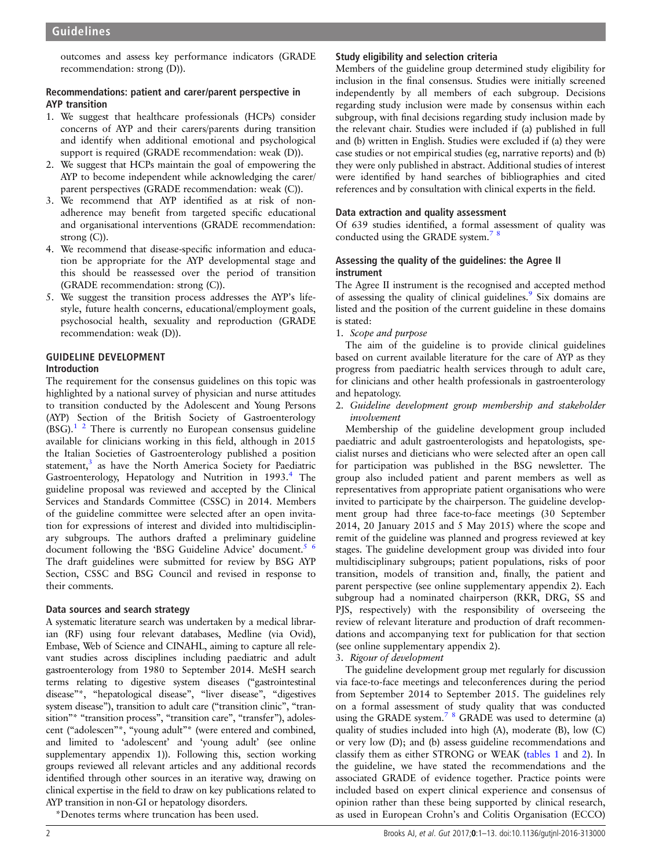outcomes and assess key performance indicators (GRADE recommendation: strong (D)).

# Recommendations: patient and carer/parent perspective in AYP transition

- 1. We suggest that healthcare professionals (HCPs) consider concerns of AYP and their carers/parents during transition and identify when additional emotional and psychological support is required (GRADE recommendation: weak (D)).
- 2. We suggest that HCPs maintain the goal of empowering the AYP to become independent while acknowledging the carer/ parent perspectives (GRADE recommendation: weak (C)).
- 3. We recommend that AYP identified as at risk of nonadherence may benefit from targeted specific educational and organisational interventions (GRADE recommendation: strong (C)).
- 4. We recommend that disease-specific information and education be appropriate for the AYP developmental stage and this should be reassessed over the period of transition (GRADE recommendation: strong (C)).
- 5. We suggest the transition process addresses the AYP's lifestyle, future health concerns, educational/employment goals, psychosocial health, sexuality and reproduction (GRADE recommendation: weak (D)).

# GUIDELINE DEVELOPMENT

# Introduction

The requirement for the consensus guidelines on this topic was highlighted by a national survey of physician and nurse attitudes to transition conducted by the Adolescent and Young Persons (AYP) Section of the British Society of Gastroenterology  $(BSG).$ <sup>1 2</sup> There is currently no European consensus guideline available for clinicians working in this field, although in 2015 the Italian Societies of Gastroenterology published a position statement, $3$  as have the North America Society for Paediatric Gastroenterology, Hepatology and Nutrition in 1993.<sup>[4](#page-10-0)</sup> The guideline proposal was reviewed and accepted by the Clinical Services and Standards Committee (CSSC) in 2014. Members of the guideline committee were selected after an open invitation for expressions of interest and divided into multidisciplinary subgroups. The authors drafted a preliminary guideline document following the 'BSG Guideline Advice' document.<sup>5 6</sup> The draft guidelines were submitted for review by BSG AYP Section, CSSC and BSG Council and revised in response to their comments.

# Data sources and search strategy

A systematic literature search was undertaken by a medical librarian (RF) using four relevant databases, Medline (via Ovid), Embase, Web of Science and CINAHL, aiming to capture all relevant studies across disciplines including paediatric and adult gastroenterology from 1980 to September 2014. MeSH search terms relating to digestive system diseases ("gastrointestinal disease"\*, "hepatological disease", "liver disease", "digestives system disease"), transition to adult care ("transition clinic", "transition"\* "transition process", "transition care", "transfer"), adolescent ("adolescen"\*, "young adult"\* (were entered and combined, and limited to 'adolescent' and 'young adult' (see online [supplementary appendix 1\)](http://dx.doi.org/10.1136/gutjnl-2016-313000)). Following this, section working groups reviewed all relevant articles and any additional records identified through other sources in an iterative way, drawing on clinical expertise in the field to draw on key publications related to AYP transition in non-GI or hepatology disorders.

\*Denotes terms where truncation has been used.

# Study eligibility and selection criteria

Members of the guideline group determined study eligibility for inclusion in the final consensus. Studies were initially screened independently by all members of each subgroup. Decisions regarding study inclusion were made by consensus within each subgroup, with final decisions regarding study inclusion made by the relevant chair. Studies were included if (a) published in full and (b) written in English. Studies were excluded if (a) they were case studies or not empirical studies (eg, narrative reports) and (b) they were only published in abstract. Additional studies of interest were identified by hand searches of bibliographies and cited references and by consultation with clinical experts in the field.

# Data extraction and quality assessment

Of 639 studies identified, a formal assessment of quality was conducted using the GRADE system.<sup>78</sup>

# Assessing the quality of the guidelines: the Agree II instrument

The Agree II instrument is the recognised and accepted method of assessing the quality of clinical guidelines.<sup>[9](#page-10-0)</sup> Six domains are listed and the position of the current guideline in these domains is stated:

1. Scope and purpose

The aim of the guideline is to provide clinical guidelines based on current available literature for the care of AYP as they progress from paediatric health services through to adult care, for clinicians and other health professionals in gastroenterology and hepatology.

2. Guideline development group membership and stakeholder involvement

Membership of the guideline development group included paediatric and adult gastroenterologists and hepatologists, specialist nurses and dieticians who were selected after an open call for participation was published in the BSG newsletter. The group also included patient and parent members as well as representatives from appropriate patient organisations who were invited to participate by the chairperson. The guideline development group had three face-to-face meetings (30 September 2014, 20 January 2015 and 5 May 2015) where the scope and remit of the guideline was planned and progress reviewed at key stages. The guideline development group was divided into four multidisciplinary subgroups; patient populations, risks of poor transition, models of transition and, finally, the patient and parent perspective (see online [supplementary appendix 2\)](http://dx.doi.org/10.1136/gutjnl-2016-313000). Each subgroup had a nominated chairperson (RKR, DRG, SS and PJS, respectively) with the responsibility of overseeing the review of relevant literature and production of draft recommendations and accompanying text for publication for that section (see online [supplementary appendix 2\)](http://dx.doi.org/10.1136/gutjnl-2016-313000).

# 3. Rigour of development

The guideline development group met regularly for discussion via face-to-face meetings and teleconferences during the period from September 2014 to September 2015. The guidelines rely on a formal assessment of study quality that was conducted using the GRADE system.<sup>7</sup> <sup>8</sup> GRADE was used to determine (a) quality of studies included into high (A), moderate (B), low (C) or very low (D); and (b) assess guideline recommendations and classify them as either STRONG or WEAK [\(tables 1](#page-2-0) and [2\)](#page-2-0). In the guideline, we have stated the recommendations and the associated GRADE of evidence together. Practice points were included based on expert clinical experience and consensus of opinion rather than these being supported by clinical research, as used in European Crohn's and Colitis Organisation (ECCO)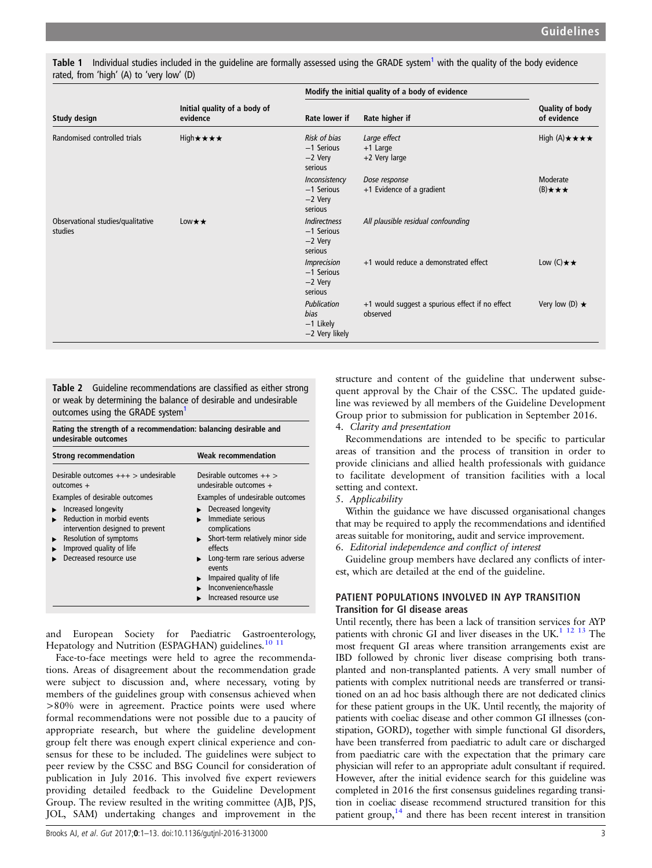| Study design                                 | Initial quality of a body of<br>evidence | Modify the initial quality of a body of evidence                  |                                                             |                                     |
|----------------------------------------------|------------------------------------------|-------------------------------------------------------------------|-------------------------------------------------------------|-------------------------------------|
|                                              |                                          | Rate lower if                                                     | Rate higher if                                              | Quality of body<br>of evidence      |
| Randomised controlled trials                 | High★★★★                                 | Risk of bias<br>-1 Serious<br>$-2$ Very<br>serious                | Large effect<br>$+1$ Large<br>$+2$ Very large               | High (A) $\star \star \star \star$  |
|                                              |                                          | Inconsistency<br>-1 Serious<br>$-2$ Very<br>serious               | Dose response<br>+1 Evidence of a gradient                  | Moderate<br>$(B) \star \star \star$ |
| Observational studies/qualitative<br>studies | Low $\star \star$                        | <b>Indirectness</b><br>$-1$ Serious<br>$-2$ Very<br>serious       | All plausible residual confounding                          |                                     |
|                                              |                                          | <i><b>Imprecision</b></i><br>$-1$ Serious<br>$-2$ Very<br>serious | +1 would reduce a demonstrated effect                       | Low $(C) \star \star$               |
|                                              |                                          | Publication<br>bias<br>$-1$ Likely<br>-2 Very likely              | +1 would suggest a spurious effect if no effect<br>observed | Very low $(D) \star$                |

<span id="page-2-0"></span>Table [1](#page-10-0) Individual studies included in the quideline are formally assessed using the GRADE system<sup>1</sup> with the quality of the body evidence rated, from 'high' (A) to 'very low' (D)

Table 2 Guideline recommendations are classified as either strong or weak by determining the balance of desirable and undesirable outcomes using the GRADE system<sup>[1](#page-10-0)</sup>

Rating the strength of a recommendation: balancing desirable and undesirable outcomes

| <b>Strong recommendation</b>                                                                                                                                          | <b>Weak recommendation</b>                                                                                                                                                                                                                          |  |
|-----------------------------------------------------------------------------------------------------------------------------------------------------------------------|-----------------------------------------------------------------------------------------------------------------------------------------------------------------------------------------------------------------------------------------------------|--|
| Desirable outcomes $++$ > undesirable<br>$outcomes +$<br>Examples of desirable outcomes                                                                               | Desirable outcomes $++$<br>undesirable outcomes +<br>Examples of undesirable outcomes                                                                                                                                                               |  |
| Increased longevity<br>Reduction in morbid events<br>intervention designed to prevent<br>Resolution of symptoms<br>Improved quality of life<br>Decreased resource use | Decreased longevity<br>Immediate serious<br>complications<br>$\triangleright$ Short-term relatively minor side<br>effects<br>Long-term rare serious adverse<br>events<br>Impaired quality of life<br>Inconvenience/hassle<br>Increased resource use |  |

and European Society for Paediatric Gastroenterology, Hepatology and Nutrition (ESPAGHAN) guidelines.<sup>[10 11](#page-10-0)</sup>

Face-to-face meetings were held to agree the recommendations. Areas of disagreement about the recommendation grade were subject to discussion and, where necessary, voting by members of the guidelines group with consensus achieved when >80% were in agreement. Practice points were used where formal recommendations were not possible due to a paucity of appropriate research, but where the guideline development group felt there was enough expert clinical experience and consensus for these to be included. The guidelines were subject to peer review by the CSSC and BSG Council for consideration of publication in July 2016. This involved five expert reviewers providing detailed feedback to the Guideline Development Group. The review resulted in the writing committee (AJB, PJS, JOL, SAM) undertaking changes and improvement in the

structure and content of the guideline that underwent subsequent approval by the Chair of the CSSC. The updated guideline was reviewed by all members of the Guideline Development Group prior to submission for publication in September 2016. 4. Clarity and presentation

Recommendations are intended to be specific to particular areas of transition and the process of transition in order to provide clinicians and allied health professionals with guidance to facilitate development of transition facilities with a local setting and context.

5. Applicability

Within the guidance we have discussed organisational changes that may be required to apply the recommendations and identified areas suitable for monitoring, audit and service improvement.

6. Editorial independence and conflict of interest

Guideline group members have declared any conflicts of interest, which are detailed at the end of the guideline.

# PATIENT POPULATIONS INVOLVED IN AYP TRANSITION Transition for GI disease areas

Until recently, there has been a lack of transition services for AYP patients with chronic GI and liver diseases in the UK.<sup>[1 12 13](#page-10-0)</sup> The most frequent GI areas where transition arrangements exist are IBD followed by chronic liver disease comprising both transplanted and non-transplanted patients. A very small number of patients with complex nutritional needs are transferred or transitioned on an ad hoc basis although there are not dedicated clinics for these patient groups in the UK. Until recently, the majority of patients with coeliac disease and other common GI illnesses (constipation, GORD), together with simple functional GI disorders, have been transferred from paediatric to adult care or discharged from paediatric care with the expectation that the primary care physician will refer to an appropriate adult consultant if required. However, after the initial evidence search for this guideline was completed in 2016 the first consensus guidelines regarding transition in coeliac disease recommend structured transition for this patient group, $14$  and there has been recent interest in transition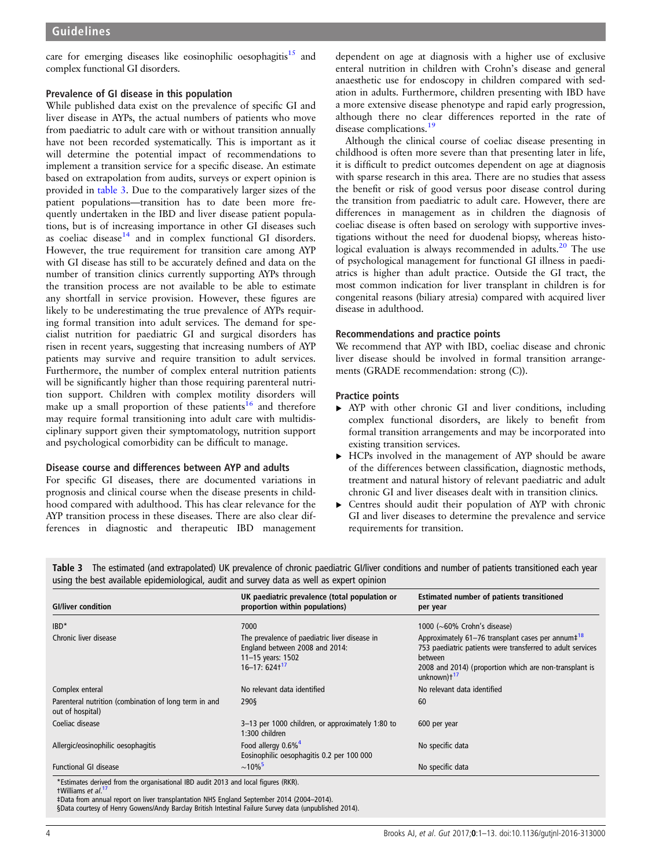<span id="page-3-0"></span>care for emerging diseases like eosinophilic oesophagitis<sup>15</sup> and complex functional GI disorders.

#### Prevalence of GI disease in this population

While published data exist on the prevalence of specific GI and liver disease in AYPs, the actual numbers of patients who move from paediatric to adult care with or without transition annually have not been recorded systematically. This is important as it will determine the potential impact of recommendations to implement a transition service for a specific disease. An estimate based on extrapolation from audits, surveys or expert opinion is provided in table 3. Due to the comparatively larger sizes of the patient populations—transition has to date been more frequently undertaken in the IBD and liver disease patient populations, but is of increasing importance in other GI diseases such as coeliac disease $14$  and in complex functional GI disorders. However, the true requirement for transition care among AYP with GI disease has still to be accurately defined and data on the number of transition clinics currently supporting AYPs through the transition process are not available to be able to estimate any shortfall in service provision. However, these figures are likely to be underestimating the true prevalence of AYPs requiring formal transition into adult services. The demand for specialist nutrition for paediatric GI and surgical disorders has risen in recent years, suggesting that increasing numbers of AYP patients may survive and require transition to adult services. Furthermore, the number of complex enteral nutrition patients will be significantly higher than those requiring parenteral nutrition support. Children with complex motility disorders will make up a small proportion of these patients<sup>[16](#page-10-0)</sup> and therefore may require formal transitioning into adult care with multidisciplinary support given their symptomatology, nutrition support and psychological comorbidity can be difficult to manage.

#### Disease course and differences between AYP and adults

For specific GI diseases, there are documented variations in prognosis and clinical course when the disease presents in childhood compared with adulthood. This has clear relevance for the AYP transition process in these diseases. There are also clear differences in diagnostic and therapeutic IBD management

dependent on age at diagnosis with a higher use of exclusive enteral nutrition in children with Crohn's disease and general anaesthetic use for endoscopy in children compared with sedation in adults. Furthermore, children presenting with IBD have a more extensive disease phenotype and rapid early progression, although there no clear differences reported in the rate of disease complications.<sup>[19](#page-10-0)</sup>

Although the clinical course of coeliac disease presenting in childhood is often more severe than that presenting later in life, it is difficult to predict outcomes dependent on age at diagnosis with sparse research in this area. There are no studies that assess the benefit or risk of good versus poor disease control during the transition from paediatric to adult care. However, there are differences in management as in children the diagnosis of coeliac disease is often based on serology with supportive investigations without the need for duodenal biopsy, whereas histo-logical evaluation is always recommended in adults.<sup>[20](#page-10-0)</sup> The use of psychological management for functional GI illness in paediatrics is higher than adult practice. Outside the GI tract, the most common indication for liver transplant in children is for congenital reasons (biliary atresia) compared with acquired liver disease in adulthood.

#### Recommendations and practice points

We recommend that AYP with IBD, coeliac disease and chronic liver disease should be involved in formal transition arrangements (GRADE recommendation: strong (C)).

#### Practice points

- ▸ AYP with other chronic GI and liver conditions, including complex functional disorders, are likely to benefit from formal transition arrangements and may be incorporated into existing transition services.
- ▸ HCPs involved in the management of AYP should be aware of the differences between classification, diagnostic methods, treatment and natural history of relevant paediatric and adult chronic GI and liver diseases dealt with in transition clinics.
- ▸ Centres should audit their population of AYP with chronic GI and liver diseases to determine the prevalence and service requirements for transition.

Table 3 The estimated (and extrapolated) UK prevalence of chronic paediatric GI/liver conditions and number of patients transitioned each year using the best available epidemiological, audit and survey data as well as expert opinion

| <b>GI/liver condition</b>                                                          | UK paediatric prevalence (total population or<br>proportion within populations)                                                     | <b>Estimated number of patients transitioned</b><br>per year                                                                                                                                                          |
|------------------------------------------------------------------------------------|-------------------------------------------------------------------------------------------------------------------------------------|-----------------------------------------------------------------------------------------------------------------------------------------------------------------------------------------------------------------------|
| $IBD^*$                                                                            | 7000                                                                                                                                | 1000 ( $\sim$ 60% Crohn's disease)                                                                                                                                                                                    |
| Chronic liver disease                                                              | The prevalence of paediatric liver disease in<br>England between 2008 and 2014:<br>11-15 years: 1502<br>$16 - 17:624$ <sup>17</sup> | Approximately 61-76 transplant cases per annum <sup>+18</sup><br>753 paediatric patients were transferred to adult services<br>between<br>2008 and 2014) (proportion which are non-transplant is<br>unknown) $t^{17}$ |
| Complex enteral                                                                    | No relevant data identified                                                                                                         | No relevant data identified                                                                                                                                                                                           |
| Parenteral nutrition (combination of long term in and<br>out of hospital)          | 290§                                                                                                                                | 60                                                                                                                                                                                                                    |
| Coeliac disease                                                                    | 3-13 per 1000 children, or approximately 1:80 to<br>1:300 children                                                                  | 600 per year                                                                                                                                                                                                          |
| Allergic/eosinophilic oesophagitis                                                 | Food allergy 0.6% <sup>4</sup><br>Eosinophilic oesophagitis 0.2 per 100 000                                                         | No specific data                                                                                                                                                                                                      |
| <b>Functional GI disease</b>                                                       | $\sim 10\%$ <sup>5</sup>                                                                                                            | No specific data                                                                                                                                                                                                      |
| *Estimates derived from the organisational IBD audit 2013 and local figures (RKR). |                                                                                                                                     |                                                                                                                                                                                                                       |

tWilliams et al<sup>[17](#page-10-0)</sup>

‡Data from annual report on liver transplantation NHS England September 2014 (2004–2014). §Data courtesy of Henry Gowens/Andy Barclay British Intestinal Failure Survey data (unpublished 2014).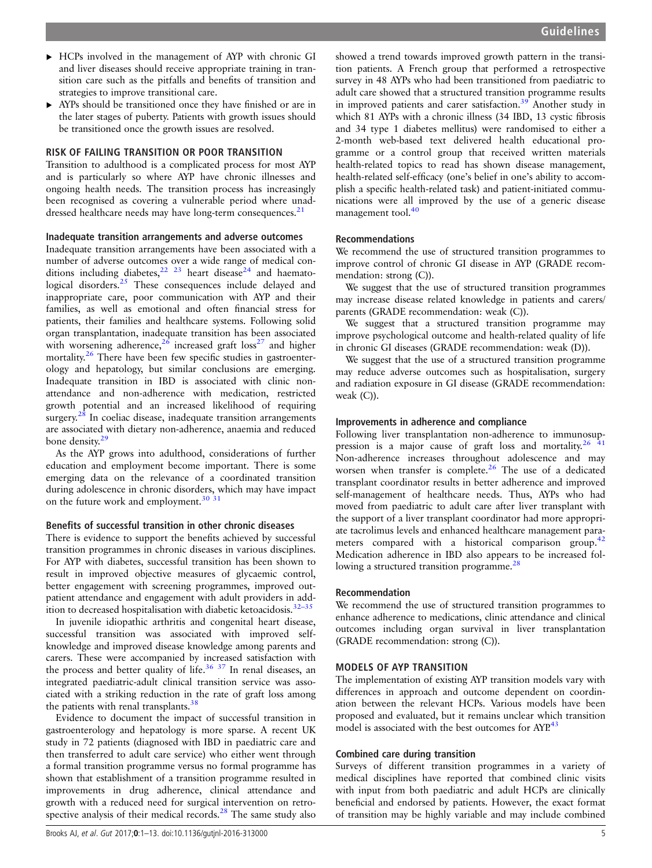- ▸ HCPs involved in the management of AYP with chronic GI and liver diseases should receive appropriate training in transition care such as the pitfalls and benefits of transition and strategies to improve transitional care.
- ▸ AYPs should be transitioned once they have finished or are in the later stages of puberty. Patients with growth issues should be transitioned once the growth issues are resolved.

#### RISK OF FAILING TRANSITION OR POOR TRANSITION

Transition to adulthood is a complicated process for most AYP and is particularly so where AYP have chronic illnesses and ongoing health needs. The transition process has increasingly been recognised as covering a vulnerable period where unad-dressed healthcare needs may have long-term consequences.<sup>[21](#page-10-0)</sup>

#### Inadequate transition arrangements and adverse outcomes

Inadequate transition arrangements have been associated with a number of adverse outcomes over a wide range of medical con-ditions including diabetes,<sup>[22 23](#page-10-0)</sup> heart disease<sup>[24](#page-10-0)</sup> and haemato-logical disorders.<sup>[25](#page-10-0)</sup> These consequences include delayed and inappropriate care, poor communication with AYP and their families, as well as emotional and often financial stress for patients, their families and healthcare systems. Following solid organ transplantation, inadequate transition has been associated with worsening adherence,<sup>[26](#page-10-0)</sup> increased graft loss<sup>27</sup> and higher mortality.<sup>[26](#page-10-0)</sup> There have been few specific studies in gastroenterology and hepatology, but similar conclusions are emerging. Inadequate transition in IBD is associated with clinic nonattendance and non-adherence with medication, restricted growth potential and an increased likelihood of requiring surgery.<sup>[28](#page-10-0)</sup> In coeliac disease, inadequate transition arrangements are associated with dietary non-adherence, anaemia and reduced bone density.<sup>[29](#page-10-0)</sup>

As the AYP grows into adulthood, considerations of further education and employment become important. There is some emerging data on the relevance of a coordinated transition during adolescence in chronic disorders, which may have impact on the future work and employment. $30\frac{31}{1}$ 

# Benefits of successful transition in other chronic diseases

There is evidence to support the benefits achieved by successful transition programmes in chronic diseases in various disciplines. For AYP with diabetes, successful transition has been shown to result in improved objective measures of glycaemic control, better engagement with screening programmes, improved outpatient attendance and engagement with adult providers in addition to decreased hospitalisation with diabetic ketoacidosis.32–[35](#page-10-0)

In juvenile idiopathic arthritis and congenital heart disease, successful transition was associated with improved selfknowledge and improved disease knowledge among parents and carers. These were accompanied by increased satisfaction with the process and better quality of life.<sup>[36](#page-10-0) [37](#page-11-0)</sup> In renal diseases, an integrated paediatric-adult clinical transition service was associated with a striking reduction in the rate of graft loss among the patients with renal transplants.<sup>[38](#page-11-0)</sup>

Evidence to document the impact of successful transition in gastroenterology and hepatology is more sparse. A recent UK study in 72 patients (diagnosed with IBD in paediatric care and then transferred to adult care service) who either went through a formal transition programme versus no formal programme has shown that establishment of a transition programme resulted in improvements in drug adherence, clinical attendance and growth with a reduced need for surgical intervention on retrospective analysis of their medical records. $28$  The same study also

showed a trend towards improved growth pattern in the transition patients. A French group that performed a retrospective survey in 48 AYPs who had been transitioned from paediatric to adult care showed that a structured transition programme results in improved patients and carer satisfaction.<sup>[39](#page-11-0)</sup> Another study in which 81 AYPs with a chronic illness (34 IBD, 13 cystic fibrosis and 34 type 1 diabetes mellitus) were randomised to either a 2-month web-based text delivered health educational programme or a control group that received written materials health-related topics to read has shown disease management, health-related self-efficacy (one's belief in one's ability to accomplish a specific health-related task) and patient-initiated communications were all improved by the use of a generic disease management tool.<sup>[40](#page-11-0)</sup>

# Recommendations

We recommend the use of structured transition programmes to improve control of chronic GI disease in AYP (GRADE recommendation: strong (C)).

We suggest that the use of structured transition programmes may increase disease related knowledge in patients and carers/ parents (GRADE recommendation: weak (C)).

We suggest that a structured transition programme may improve psychological outcome and health-related quality of life in chronic GI diseases (GRADE recommendation: weak (D)).

We suggest that the use of a structured transition programme may reduce adverse outcomes such as hospitalisation, surgery and radiation exposure in GI disease (GRADE recommendation: weak (C)).

# Improvements in adherence and compliance

Following liver transplantation non-adherence to immunosup-pression is a major cause of graft loss and mortality.<sup>[26](#page-10-0)</sup> <sup>41</sup> Non-adherence increases throughout adolescence and may worsen when transfer is complete.<sup>[26](#page-10-0)</sup> The use of a dedicated transplant coordinator results in better adherence and improved self-management of healthcare needs. Thus, AYPs who had moved from paediatric to adult care after liver transplant with the support of a liver transplant coordinator had more appropriate tacrolimus levels and enhanced healthcare management para-meters compared with a historical comparison group.<sup>[42](#page-11-0)</sup> Medication adherence in IBD also appears to be increased following a structured transition programme.<sup>28</sup>

#### Recommendation

We recommend the use of structured transition programmes to enhance adherence to medications, clinic attendance and clinical outcomes including organ survival in liver transplantation (GRADE recommendation: strong (C)).

#### MODELS OF AYP TRANSITION

The implementation of existing AYP transition models vary with differences in approach and outcome dependent on coordination between the relevant HCPs. Various models have been proposed and evaluated, but it remains unclear which transition model is associated with the best outcomes for AYP.<sup>[43](#page-11-0)</sup>

#### Combined care during transition

Surveys of different transition programmes in a variety of medical disciplines have reported that combined clinic visits with input from both paediatric and adult HCPs are clinically beneficial and endorsed by patients. However, the exact format of transition may be highly variable and may include combined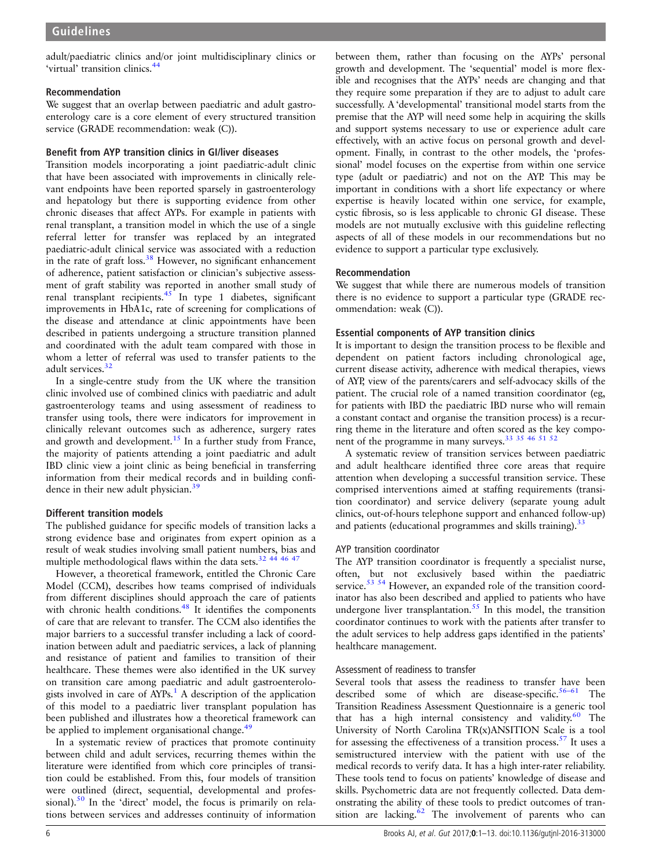adult/paediatric clinics and/or joint multidisciplinary clinics or 'virtual' transition clinics.<sup>[44](#page-11-0)</sup>

#### Recommendation

We suggest that an overlap between paediatric and adult gastroenterology care is a core element of every structured transition service (GRADE recommendation: weak (C)).

# Benefit from AYP transition clinics in GI/liver diseases

Transition models incorporating a joint paediatric-adult clinic that have been associated with improvements in clinically relevant endpoints have been reported sparsely in gastroenterology and hepatology but there is supporting evidence from other chronic diseases that affect AYPs. For example in patients with renal transplant, a transition model in which the use of a single referral letter for transfer was replaced by an integrated paediatric-adult clinical service was associated with a reduction in the rate of graft loss. $38$  However, no significant enhancement of adherence, patient satisfaction or clinician's subjective assessment of graft stability was reported in another small study of renal transplant recipients. $45$  In type 1 diabetes, significant improvements in HbA1c, rate of screening for complications of the disease and attendance at clinic appointments have been described in patients undergoing a structure transition planned and coordinated with the adult team compared with those in whom a letter of referral was used to transfer patients to the adult services.<sup>[32](#page-10-0)</sup>

In a single-centre study from the UK where the transition clinic involved use of combined clinics with paediatric and adult gastroenterology teams and using assessment of readiness to transfer using tools, there were indicators for improvement in clinically relevant outcomes such as adherence, surgery rates and growth and development.<sup>[15](#page-10-0)</sup> In a further study from France, the majority of patients attending a joint paediatric and adult IBD clinic view a joint clinic as being beneficial in transferring information from their medical records and in building confi-dence in their new adult physician.<sup>[39](#page-11-0)</sup>

# Different transition models

The published guidance for specific models of transition lacks a strong evidence base and originates from expert opinion as a result of weak studies involving small patient numbers, bias and multiple methodological flaws within the data sets.<sup>32</sup> <sup>44 46 47</sup>

However, a theoretical framework, entitled the Chronic Care Model (CCM), describes how teams comprised of individuals from different disciplines should approach the care of patients with chronic health conditions.<sup>[48](#page-11-0)</sup> It identifies the components of care that are relevant to transfer. The CCM also identifies the major barriers to a successful transfer including a lack of coordination between adult and paediatric services, a lack of planning and resistance of patient and families to transition of their healthcare. These themes were also identified in the UK survey on transition care among paediatric and adult gastroenterologists involved in care of  $AYPs<sup>1</sup>$  $AYPs<sup>1</sup>$  $AYPs<sup>1</sup>$ . A description of the application of this model to a paediatric liver transplant population has been published and illustrates how a theoretical framework can be applied to implement organisational change.<sup>[49](#page-11-0)</sup>

In a systematic review of practices that promote continuity between child and adult services, recurring themes within the literature were identified from which core principles of transition could be established. From this, four models of transition were outlined (direct, sequential, developmental and professional). $50$  In the 'direct' model, the focus is primarily on relations between services and addresses continuity of information

between them, rather than focusing on the AYPs' personal growth and development. The 'sequential' model is more flexible and recognises that the AYPs' needs are changing and that they require some preparation if they are to adjust to adult care successfully. A'developmental' transitional model starts from the premise that the AYP will need some help in acquiring the skills and support systems necessary to use or experience adult care effectively, with an active focus on personal growth and development. Finally, in contrast to the other models, the 'professional' model focuses on the expertise from within one service type (adult or paediatric) and not on the AYP. This may be important in conditions with a short life expectancy or where expertise is heavily located within one service, for example, cystic fibrosis, so is less applicable to chronic GI disease. These models are not mutually exclusive with this guideline reflecting aspects of all of these models in our recommendations but no evidence to support a particular type exclusively.

# Recommendation

We suggest that while there are numerous models of transition there is no evidence to support a particular type (GRADE recommendation: weak (C)).

# Essential components of AYP transition clinics

It is important to design the transition process to be flexible and dependent on patient factors including chronological age, current disease activity, adherence with medical therapies, views of AYP, view of the parents/carers and self-advocacy skills of the patient. The crucial role of a named transition coordinator (eg, for patients with IBD the paediatric IBD nurse who will remain a constant contact and organise the transition process) is a recurring theme in the literature and often scored as the key component of the programme in many surveys.<sup>33</sup> <sup>35</sup> <sup>46</sup> <sup>51</sup> <sup>52</sup>

A systematic review of transition services between paediatric and adult healthcare identified three core areas that require attention when developing a successful transition service. These comprised interventions aimed at staffing requirements (transition coordinator) and service delivery (separate young adult clinics, out-of-hours telephone support and enhanced follow-up) and patients (educational programmes and skills training).<sup>[33](#page-10-0)</sup>

# AYP transition coordinator

The AYP transition coordinator is frequently a specialist nurse, often, but not exclusively based within the paediatric service.<sup>[53 54](#page-11-0)</sup> However, an expanded role of the transition coordinator has also been described and applied to patients who have undergone liver transplantation.<sup>55</sup> In this model, the transition coordinator continues to work with the patients after transfer to the adult services to help address gaps identified in the patients' healthcare management.

# Assessment of readiness to transfer

Several tools that assess the readiness to transfer have been described some of which are disease-specific. $56-61$  $56-61$  The Transition Readiness Assessment Questionnaire is a generic tool that has a high internal consistency and validity. $60$  The University of North Carolina TR(x)ANSITION Scale is a tool for assessing the effectiveness of a transition process.[57](#page-11-0) It uses a semistructured interview with the patient with use of the medical records to verify data. It has a high inter-rater reliability. These tools tend to focus on patients' knowledge of disease and skills. Psychometric data are not frequently collected. Data demonstrating the ability of these tools to predict outcomes of transition are lacking. $62$  The involvement of parents who can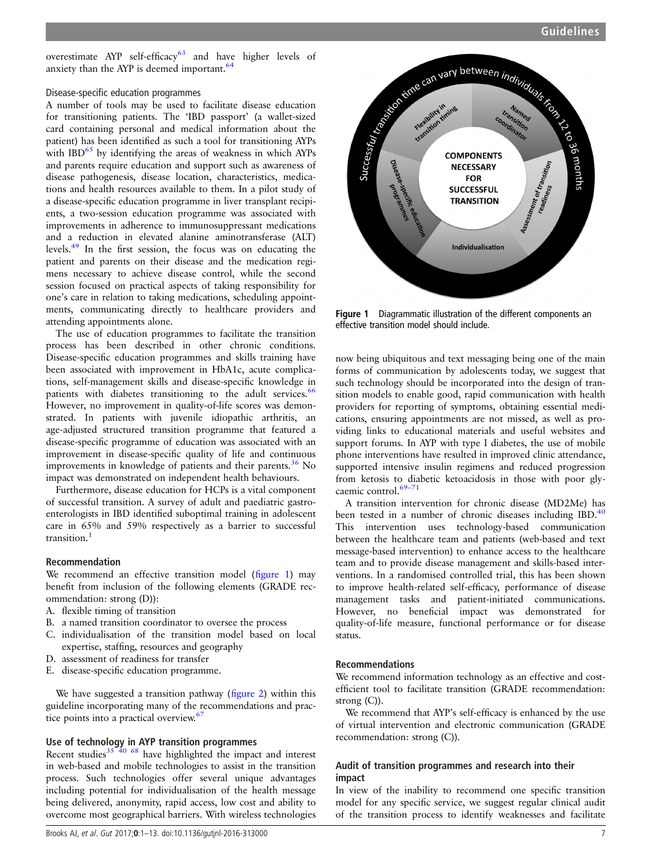<span id="page-6-0"></span>overestimate AYP self-efficacy $63$  and have higher levels of anxiety than the AYP is deemed important.<sup>64</sup>

#### Disease-specific education programmes

A number of tools may be used to facilitate disease education for transitioning patients. The 'IBD passport' (a wallet-sized card containing personal and medical information about the patient) has been identified as such a tool for transitioning AYPs with  $IBD<sup>65</sup>$  $IBD<sup>65</sup>$  $IBD<sup>65</sup>$  by identifying the areas of weakness in which AYPs and parents require education and support such as awareness of disease pathogenesis, disease location, characteristics, medications and health resources available to them. In a pilot study of a disease-specific education programme in liver transplant recipients, a two-session education programme was associated with improvements in adherence to immunosuppressant medications and a reduction in elevated alanine aminotransferase (ALT) levels[.49](#page-11-0) In the first session, the focus was on educating the patient and parents on their disease and the medication regimens necessary to achieve disease control, while the second session focused on practical aspects of taking responsibility for one's care in relation to taking medications, scheduling appointments, communicating directly to healthcare providers and attending appointments alone.

The use of education programmes to facilitate the transition process has been described in other chronic conditions. Disease-specific education programmes and skills training have been associated with improvement in HbA1c, acute complications, self-management skills and disease-specific knowledge in patients with diabetes transitioning to the adult services.<sup>[66](#page-11-0)</sup> However, no improvement in quality-of-life scores was demonstrated. In patients with juvenile idiopathic arthritis, an age-adjusted structured transition programme that featured a disease-specific programme of education was associated with an improvement in disease-specific quality of life and continuous improvements in knowledge of patients and their parents. $36$  No impact was demonstrated on independent health behaviours.

Furthermore, disease education for HCPs is a vital component of successful transition. A survey of adult and paediatric gastroenterologists in IBD identified suboptimal training in adolescent care in 65% and 59% respectively as a barrier to successful transition.<sup>[1](#page-10-0)</sup>

# Recommendation

We recommend an effective transition model (figure 1) may benefit from inclusion of the following elements (GRADE recommendation: strong (D)):

- A. flexible timing of transition
- B. a named transition coordinator to oversee the process
- C. individualisation of the transition model based on local expertise, staffing, resources and geography
- D. assessment of readiness for transfer
- E. disease-specific education programme.

We have suggested a transition pathway (fi[gure 2](#page-7-0)) within this guideline incorporating many of the recommendations and prac-tice points into a practical overview.<sup>[67](#page-11-0)</sup>

# Use of technology in AYP transition programmes

Recent studies $35\frac{40}{68}$  $35\frac{40}{68}$  have highlighted the impact and interest in web-based and mobile technologies to assist in the transition process. Such technologies offer several unique advantages including potential for individualisation of the health message being delivered, anonymity, rapid access, low cost and ability to overcome most geographical barriers. With wireless technologies



Figure 1 Diagrammatic illustration of the different components an effective transition model should include.

now being ubiquitous and text messaging being one of the main forms of communication by adolescents today, we suggest that such technology should be incorporated into the design of transition models to enable good, rapid communication with health providers for reporting of symptoms, obtaining essential medications, ensuring appointments are not missed, as well as providing links to educational materials and useful websites and support forums. In AYP with type I diabetes, the use of mobile phone interventions have resulted in improved clinic attendance, supported intensive insulin regimens and reduced progression from ketosis to diabetic ketoacidosis in those with poor glycaemic control.<sup>69-71</sup>

A transition intervention for chronic disease (MD2Me) has been tested in a number of chronic diseases including IBD.<sup>[40](#page-11-0)</sup> This intervention uses technology-based communication between the healthcare team and patients (web-based and text message-based intervention) to enhance access to the healthcare team and to provide disease management and skills-based interventions. In a randomised controlled trial, this has been shown to improve health-related self-efficacy, performance of disease management tasks and patient-initiated communications. However, no beneficial impact was demonstrated for quality-of-life measure, functional performance or for disease status.

#### Recommendations

We recommend information technology as an effective and costefficient tool to facilitate transition (GRADE recommendation: strong (C)).

We recommend that AYP's self-efficacy is enhanced by the use of virtual intervention and electronic communication (GRADE recommendation: strong (C)).

# Audit of transition programmes and research into their impact

In view of the inability to recommend one specific transition model for any specific service, we suggest regular clinical audit of the transition process to identify weaknesses and facilitate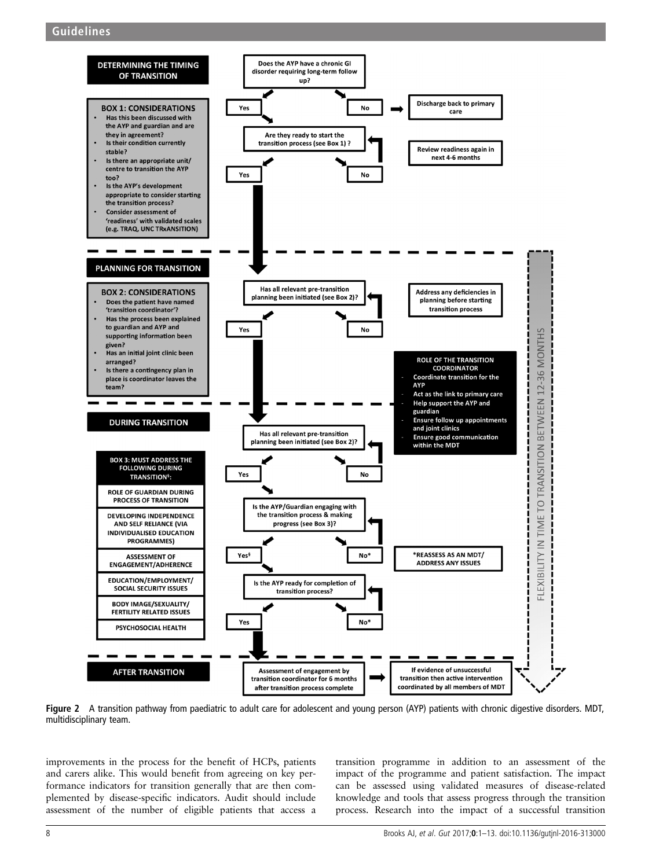<span id="page-7-0"></span>

Figure 2 A transition pathway from paediatric to adult care for adolescent and young person (AYP) patients with chronic digestive disorders. MDT, multidisciplinary team.

improvements in the process for the benefit of HCPs, patients and carers alike. This would benefit from agreeing on key performance indicators for transition generally that are then complemented by disease-specific indicators. Audit should include assessment of the number of eligible patients that access a

transition programme in addition to an assessment of the impact of the programme and patient satisfaction. The impact can be assessed using validated measures of disease-related knowledge and tools that assess progress through the transition process. Research into the impact of a successful transition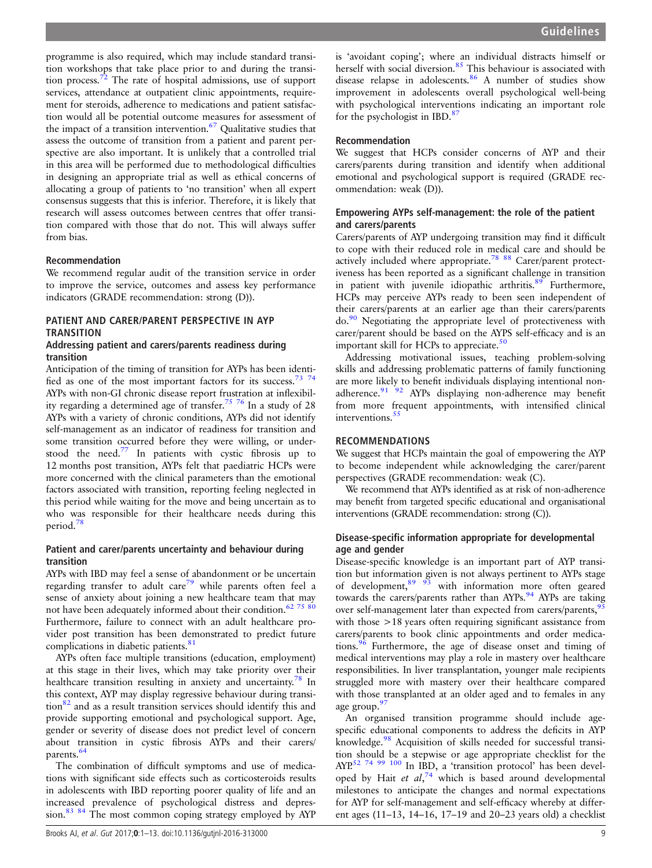programme is also required, which may include standard transition workshops that take place prior to and during the transition process.[72](#page-11-0) The rate of hospital admissions, use of support services, attendance at outpatient clinic appointments, requirement for steroids, adherence to medications and patient satisfaction would all be potential outcome measures for assessment of the impact of a transition intervention.<sup>[67](#page-11-0)</sup> Qualitative studies that assess the outcome of transition from a patient and parent perspective are also important. It is unlikely that a controlled trial in this area will be performed due to methodological difficulties in designing an appropriate trial as well as ethical concerns of allocating a group of patients to 'no transition' when all expert consensus suggests that this is inferior. Therefore, it is likely that research will assess outcomes between centres that offer transition compared with those that do not. This will always suffer from bias.

#### Recommendation

We recommend regular audit of the transition service in order to improve the service, outcomes and assess key performance indicators (GRADE recommendation: strong (D)).

# PATIENT AND CARER/PARENT PERSPECTIVE IN AYP **TRANSITION**

# Addressing patient and carers/parents readiness during transition

Anticipation of the timing of transition for AYPs has been identified as one of the most important factors for its success.<sup>73</sup> 74 AYPs with non-GI chronic disease report frustration at inflexibility regarding a determined age of transfer.<sup>75</sup> 76</sup> In a study of 28 AYPs with a variety of chronic conditions, AYPs did not identify self-management as an indicator of readiness for transition and some transition occurred before they were willing, or understood the need.<sup>77</sup> In patients with cystic fibrosis up to 12 months post transition, AYPs felt that paediatric HCPs were more concerned with the clinical parameters than the emotional factors associated with transition, reporting feeling neglected in this period while waiting for the move and being uncertain as to who was responsible for their healthcare needs during this period[.78](#page-11-0)

# Patient and carer/parents uncertainty and behaviour during transition

AYPs with IBD may feel a sense of abandonment or be uncertain regarding transfer to adult care<sup>79</sup> while parents often feel a sense of anxiety about joining a new healthcare team that may not have been adequately informed about their condition.<sup>62 75</sup> 80 Furthermore, failure to connect with an adult healthcare provider post transition has been demonstrated to predict future complications in diabetic patients.<sup>[81](#page-11-0)</sup>

AYPs often face multiple transitions (education, employment) at this stage in their lives, which may take priority over their healthcare transition resulting in anxiety and uncertainty.<sup>[78](#page-11-0)</sup> In this context, AYP may display regressive behaviour during transition<sup>82</sup> and as a result transition services should identify this and provide supporting emotional and psychological support. Age, gender or severity of disease does not predict level of concern about transition in cystic fibrosis AYPs and their carers/ parents.<sup>64</sup>

The combination of difficult symptoms and use of medications with significant side effects such as corticosteroids results in adolescents with IBD reporting poorer quality of life and an increased prevalence of psychological distress and depres-sion.<sup>[83 84](#page-11-0)</sup> The most common coping strategy employed by AYP

is 'avoidant coping'; where an individual distracts himself or herself with social diversion.<sup>[85](#page-11-0)</sup> This behaviour is associated with disease relapse in adolescents.<sup>[86](#page-11-0)</sup> A number of studies show improvement in adolescents overall psychological well-being with psychological interventions indicating an important role for the psychologist in IBD.[87](#page-11-0)

#### Recommendation

We suggest that HCPs consider concerns of AYP and their carers/parents during transition and identify when additional emotional and psychological support is required (GRADE recommendation: weak (D)).

# Empowering AYPs self-management: the role of the patient and carers/parents

Carers/parents of AYP undergoing transition may find it difficult to cope with their reduced role in medical care and should be actively included where appropriate.[78 88](#page-11-0) Carer/parent protectiveness has been reported as a significant challenge in transition in patient with juvenile idiopathic arthritis.<sup>[89](#page-11-0)</sup> Furthermore, HCPs may perceive AYPs ready to been seen independent of their carers/parents at an earlier age than their carers/parents do.<sup>90</sup> Negotiating the appropriate level of protectiveness with carer/parent should be based on the AYPS self-efficacy and is an important skill for HCPs to appreciate. $50$ 

Addressing motivational issues, teaching problem-solving skills and addressing problematic patterns of family functioning are more likely to benefit individuals displaying intentional non-adherence.<sup>[91 92](#page-11-0)</sup> AYPs displaying non-adherence may benefit from more frequent appointments, with intensified clinical interventions.<sup>5</sup>

# RECOMMENDATIONS

We suggest that HCPs maintain the goal of empowering the AYP to become independent while acknowledging the carer/parent perspectives (GRADE recommendation: weak (C).

We recommend that AYPs identified as at risk of non-adherence may benefit from targeted specific educational and organisational interventions (GRADE recommendation: strong (C)).

#### Disease-specific information appropriate for developmental age and gender

Disease-specific knowledge is an important part of AYP transition but information given is not always pertinent to AYPs stage of development,  $89 \frac{93}{93}$  with information more often geared towards the carers/parents rather than AYPs.<sup>[94](#page-12-0)</sup> AYPs are taking over self-management later than expected from carers/parents,<sup>[95](#page-12-0)</sup> with those >18 years often requiring significant assistance from carers/parents to book clinic appointments and order medications.[96](#page-12-0) Furthermore, the age of disease onset and timing of medical interventions may play a role in mastery over healthcare responsibilities. In liver transplantation, younger male recipients struggled more with mastery over their healthcare compared with those transplanted at an older aged and to females in any age group.<sup>[97](#page-12-0)</sup>

An organised transition programme should include agespecific educational components to address the deficits in AYP knowledge.[98](#page-12-0) Acquisition of skills needed for successful transition should be a stepwise or age appropriate checklist for the AYP.<sup>[52 74](#page-11-0) [99 100](#page-12-0)</sup> In IBD, a 'transition protocol' has been developed by Hait et  $al^{74}$  $al^{74}$  $al^{74}$ , which is based around developmental milestones to anticipate the changes and normal expectations for AYP for self-management and self-efficacy whereby at different ages (11–13, 14–16, 17–19 and 20–23 years old) a checklist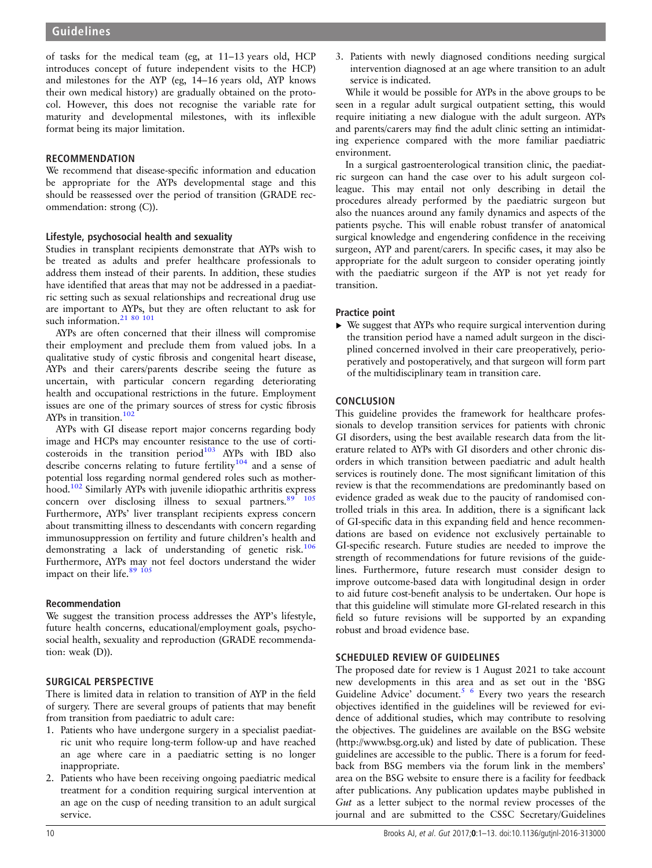of tasks for the medical team (eg, at 11–13 years old, HCP introduces concept of future independent visits to the HCP) and milestones for the AYP (eg, 14–16 years old, AYP knows their own medical history) are gradually obtained on the protocol. However, this does not recognise the variable rate for maturity and developmental milestones, with its inflexible format being its major limitation.

#### RECOMMENDATION

We recommend that disease-specific information and education be appropriate for the AYPs developmental stage and this should be reassessed over the period of transition (GRADE recommendation: strong (C)).

#### Lifestyle, psychosocial health and sexuality

Studies in transplant recipients demonstrate that AYPs wish to be treated as adults and prefer healthcare professionals to address them instead of their parents. In addition, these studies have identified that areas that may not be addressed in a paediatric setting such as sexual relationships and recreational drug use are important to AYPs, but they are often reluctant to ask for such information.<sup>[21](#page-10-0)</sup> [80](#page-11-0)<sup>101</sup>

AYPs are often concerned that their illness will compromise their employment and preclude them from valued jobs. In a qualitative study of cystic fibrosis and congenital heart disease, AYPs and their carers/parents describe seeing the future as uncertain, with particular concern regarding deteriorating health and occupational restrictions in the future. Employment issues are one of the primary sources of stress for cystic fibrosis AYPs in transition. $102$ 

AYPs with GI disease report major concerns regarding body image and HCPs may encounter resistance to the use of corticosteroids in the transition period $103$  AYPs with IBD also describe concerns relating to future fertility<sup>[104](#page-12-0)</sup> and a sense of potential loss regarding normal gendered roles such as motherhood[.102](#page-12-0) Similarly AYPs with juvenile idiopathic arthritis express concern over disclosing illness to sexual partners.<sup>[89](#page-11-0) [105](#page-12-0)</sup> Furthermore, AYPs' liver transplant recipients express concern about transmitting illness to descendants with concern regarding immunosuppression on fertility and future children's health and demonstrating a lack of understanding of genetic risk.<sup>106</sup> Furthermore, AYPs may not feel doctors understand the wider impact on their life.<sup>[89](#page-11-0) [105](#page-12-0)</sup>

# Recommendation

We suggest the transition process addresses the AYP's lifestyle, future health concerns, educational/employment goals, psychosocial health, sexuality and reproduction (GRADE recommendation: weak (D)).

# SURGICAL PERSPECTIVE

There is limited data in relation to transition of AYP in the field of surgery. There are several groups of patients that may benefit from transition from paediatric to adult care:

- 1. Patients who have undergone surgery in a specialist paediatric unit who require long-term follow-up and have reached an age where care in a paediatric setting is no longer inappropriate.
- 2. Patients who have been receiving ongoing paediatric medical treatment for a condition requiring surgical intervention at an age on the cusp of needing transition to an adult surgical service.

3. Patients with newly diagnosed conditions needing surgical intervention diagnosed at an age where transition to an adult service is indicated.

While it would be possible for AYPs in the above groups to be seen in a regular adult surgical outpatient setting, this would require initiating a new dialogue with the adult surgeon. AYPs and parents/carers may find the adult clinic setting an intimidating experience compared with the more familiar paediatric environment.

In a surgical gastroenterological transition clinic, the paediatric surgeon can hand the case over to his adult surgeon colleague. This may entail not only describing in detail the procedures already performed by the paediatric surgeon but also the nuances around any family dynamics and aspects of the patients psyche. This will enable robust transfer of anatomical surgical knowledge and engendering confidence in the receiving surgeon, AYP and parent/carers. In specific cases, it may also be appropriate for the adult surgeon to consider operating jointly with the paediatric surgeon if the AYP is not yet ready for transition.

#### Practice point

▸ We suggest that AYPs who require surgical intervention during the transition period have a named adult surgeon in the disciplined concerned involved in their care preoperatively, perioperatively and postoperatively, and that surgeon will form part of the multidisciplinary team in transition care.

#### **CONCLUSION**

This guideline provides the framework for healthcare professionals to develop transition services for patients with chronic GI disorders, using the best available research data from the literature related to AYPs with GI disorders and other chronic disorders in which transition between paediatric and adult health services is routinely done. The most significant limitation of this review is that the recommendations are predominantly based on evidence graded as weak due to the paucity of randomised controlled trials in this area. In addition, there is a significant lack of GI-specific data in this expanding field and hence recommendations are based on evidence not exclusively pertainable to GI-specific research. Future studies are needed to improve the strength of recommendations for future revisions of the guidelines. Furthermore, future research must consider design to improve outcome-based data with longitudinal design in order to aid future cost-benefit analysis to be undertaken. Our hope is that this guideline will stimulate more GI-related research in this field so future revisions will be supported by an expanding robust and broad evidence base.

# SCHEDULED REVIEW OF GUIDELINES

The proposed date for review is 1 August 2021 to take account new developments in this area and as set out in the 'BSG Guideline Advice' document.<sup>5 6</sup> Every two years the research objectives identified in the guidelines will be reviewed for evidence of additional studies, which may contribute to resolving the objectives. The guidelines are available on the BSG website (<http://www.bsg.org.uk>) and listed by date of publication. These guidelines are accessible to the public. There is a forum for feedback from BSG members via the forum link in the members' area on the BSG website to ensure there is a facility for feedback after publications. Any publication updates maybe published in Gut as a letter subject to the normal review processes of the journal and are submitted to the CSSC Secretary/Guidelines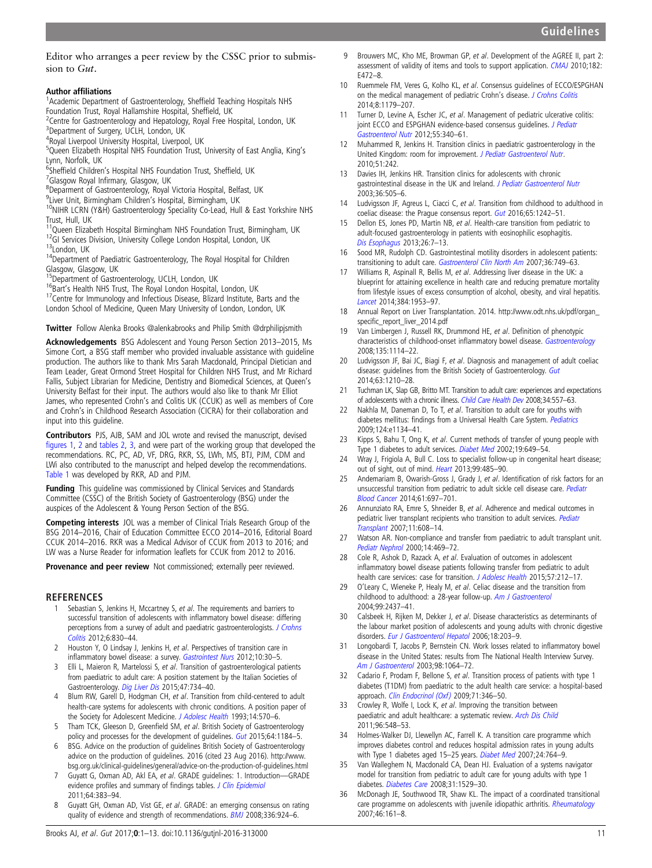<span id="page-10-0"></span>Editor who arranges a peer review by the CSSC prior to submission to Gut.

#### Author affiliations <sup>1</sup>

<sup>1</sup> Academic Department of Gastroenterology, Sheffield Teaching Hospitals NHS Foundation Trust, Royal Hallamshire Hospital, Sheffield, UK <sup>2</sup>

- <sup>2</sup> Centre for Gastroenterology and Hepatology, Royal Free Hospital, London, UK
- <sup>3</sup>Department of Surgery, UCLH, London, UK

4 Royal Liverpool University Hospital, Liverpool, UK <sup>5</sup>Queen Elizabeth Hospital NHS Foundation Trust, University of East Anglia, King's Lynn, Norfolk, UK

- <sup>6</sup>Sheffield Children's Hospital NHS Foundation Trust, Sheffield, UK<br><sup>7</sup>Glasgow Royal Infirmary, Glasgow, UK
- <sup>7</sup>Glasgow Royal Infirmary, Glasgow, UK

Deparment of Gastroenterology, Royal Victoria Hospital, Belfast, UK

- <sup>9</sup>Liver Unit, Birmingham Children's Hospital, Birmingham, UK
- $10$ NIHR LCRN (Y&H) Gastroenterology Speciality Co-Lead, Hull & East Yorkshire NHS
- Trust, Hull, UK<br><sup>11</sup>Queen Elizabeth Hospital Birmingham NHS Foundation Trust, Birmingham, UK

<sup>12</sup>GI Services Division, University College London Hospital, London, UK<br><sup>13</sup>London, UK<br><sup>14</sup>Department of Paediatric Gastroenterology, The Royal Hospital for Children

Glasgow, Glasgow, UK<br><sup>15</sup>Department of Gastroenterology, UCLH, London, UK

<sup>16</sup>Bart's Health NHS Trust, The Royal London Hospital, London, UK <sup>17</sup>Centre for Immunology and Infectious Disease, Blizard Institute, Barts and the London School of Medicine, Queen Mary University of London, London, UK

**Twitter** Follow Alenka Brooks [@alenkabrooks and Philip Smith @drphilipjsmith](http://twitter.com/drphilipjsmith)

Acknowledgements BSG Adolescent and Young Person Section 2013–2015, Ms Simone Cort, a BSG staff member who provided invaluable assistance with guideline production. The authors like to thank Mrs Sarah Macdonald, Principal Dietician and Team Leader, Great Ormond Street Hospital for Children NHS Trust, and Mr Richard Fallis, Subject Librarian for Medicine, Dentistry and Biomedical Sciences, at Queen's University Belfast for their input. The authors would also like to thank Mr Elliot James, who represented Crohn's and Colitis UK (CCUK) as well as members of Core and Crohn's in Childhood Research Association (CICRA) for their collaboration and input into this guideline.

Contributors PJS, AJB, SAM and JOL wrote and revised the manuscript, devised fi[gures 1](#page-6-0), [2](#page-7-0) and [tables 2](#page-2-0), [3](#page-3-0), and were part of the working group that developed the recommendations. RC, PC, AD, VF, DRG, RKR, SS, LWh, MS, BTJ, PJM, CDM and LWi also contributed to the manuscript and helped develop the recommendations. [Table 1](#page-2-0) was developed by RKR, AD and PJM.

Funding This quideline was commissioned by Clinical Services and Standards Committee (CSSC) of the British Society of Gastroenterology (BSG) under the auspices of the Adolescent & Young Person Section of the BSG.

Competing interests JOL was a member of Clinical Trials Research Group of the BSG 2014–2016, Chair of Education Committee ECCO 2014–2016, Editorial Board CCUK 2014–2016. RKR was a Medical Advisor of CCUK from 2013 to 2016; and LW was a Nurse Reader for information leaflets for CCUK from 2012 to 2016.

Provenance and peer review Not commissioned; externally peer reviewed.

#### REFERENCES

- Sebastian S, Jenkins H, Mccartney S, et al. The requirements and barriers to successful transition of adolescents with inflammatory bowel disease: differing perceptions from a survey of adult and paediatric gastroenterologists. [J Crohns](http://dx.doi.org/10.1016/j.crohns.2012.01.010) [Colitis](http://dx.doi.org/10.1016/j.crohns.2012.01.010) 2012;6:830–44.
- 2 Houston Y, O Lindsay J, Jenkins H, et al. Perspectives of transition care in inflammatory bowel disease: a survey. [Gastrointest Nurs](http://dx.doi.org/10.12968/gasn.2012.10.1.30) 2012;10:30-5.
- 3 Elli L, Maieron R, Martelossi S, et al. Transition of gastroenterological patients from paediatric to adult care: A position statement by the Italian Societies of Gastroenterology. [Dig Liver Dis](http://dx.doi.org/10.1016/j.dld.2015.04.002) 2015;47:734–40.
- 4 Blum RW, Garell D, Hodgman CH, et al. Transition from child-centered to adult health-care systems for adolescents with chronic conditions. A position paper of the Society for Adolescent Medicine. [J Adolesc Health](http://dx.doi.org/10.1016/1054-139X(93)90143-D) 1993;14:570-6.
- 5 Tham TCK, Gleeson D, Greenfield SM, et al. British Society of Gastroenterology policy and processes for the development of guidelines. [Gut](http://dx.doi.org/10.1136/gutjnl-2015-309164) 2015;64:1184-5.
- 6 BSG. Advice on the production of guidelines British Society of Gastroenterology advice on the production of guidelines. 2016 (cited 23 Aug 2016). [http://www.](http://www.bsg.org.uk/clinical-guidelines/general/advice-on-the-production-of-guidelines.html) [bsg.org.uk/clinical-guidelines/general/advice-on-the-production-of-guidelines.html](http://www.bsg.org.uk/clinical-guidelines/general/advice-on-the-production-of-guidelines.html)
- 7 Guyatt G, Oxman AD, Akl EA, et al. GRADE guidelines: 1. Introduction—GRADE evidence profiles and summary of findings tables. [J Clin Epidemiol](http://dx.doi.org/10.1016/j.jclinepi.2010.04.026) 2011;64:383–94.
- 8 Guyatt GH, Oxman AD, Vist GE, et al. GRADE: an emerging consensus on rating quality of evidence and strength of recommendations. **[BMJ](http://dx.doi.org/10.1136/bmj.39489.470347.AD)** 2008;336:924-6.
- 9 Brouwers MC, Kho ME, Browman GP, et al. Development of the AGREE II, part 2: assessment of validity of items and tools to support application. [CMAJ](http://dx.doi.org/10.1503/cmaj.091716) 2010;182: E472–8.
- 10 Ruemmele FM, Veres G, Kolho KL, et al. Consensus guidelines of ECCO/ESPGHAN on the medical management of pediatric Crohn's disease. [J Crohns Colitis](http://dx.doi.org/10.1016/j.crohns.2014.04.005) 2014;8:1179–207.
- 11 Turner D, Levine A, Escher JC, et al. Management of pediatric ulcerative colitis: joint ECCO and ESPGHAN evidence-based consensus quidelines. [J Pediatr](http://dx.doi.org/10.1097/MPG.0b013e3182662233) [Gastroenterol Nutr](http://dx.doi.org/10.1097/MPG.0b013e3182662233) 2012;55:340–61.
- 12 Muhammed R, Jenkins H. Transition clinics in paediatric gastroenterology in the United Kingdom: room for improvement. J [Pediatr Gastroenterol Nutr](http://dx.doi.org/10.1097/MPG.0b013e31819c0cf8). 2010;51:242.
- 13 Davies IH, Jenkins HR. Transition clinics for adolescents with chronic gastrointestinal disease in the UK and Ireland. [J Pediatr Gastroenterol Nutr](http://dx.doi.org/10.1097/00005176-200304000-00019) 2003;36:505–6.
- 14 Ludvigsson JF, Agreus L, Ciacci C, et al. Transition from childhood to adulthood in coeliac disease: the Prague consensus report. [Gut](http://dx.doi.org/10.1136/gutjnl-2016-311574) 2016;65:1242-51.
- 15 Dellon ES, Jones PD, Martin NB, et al. Health-care transition from pediatric to adult-focused gastroenterology in patients with eosinophilic esophagitis. [Dis Esophagus](http://dx.doi.org/10.1111/j.1442-2050.2011.01315.x) 2013;26:7–13.
- 16 Sood MR, Rudolph CD. Gastrointestinal motility disorders in adolescent patients: transitioning to adult care. [Gastroenterol Clin North Am](http://dx.doi.org/10.1016/j.gtc.2007.07.015) 2007;36:749-63.
- 17 Williams R, Aspinall R, Bellis M, et al. Addressing liver disease in the UK: a blueprint for attaining excellence in health care and reducing premature mortality from lifestyle issues of excess consumption of alcohol, obesity, and viral hepatitis. [Lancet](http://dx.doi.org/10.1016/S0140-6736(14)61838-9) 2014;384:1953–97.
- 18 Annual Report on Liver Transplantation. 2014. [http://www.odt.nhs.uk/pdf/organ\\_](http://www.odt.nhs.uk/pdf/organ_specific_report_liver_2014.pdf) specifi[c\\_report\\_liver\\_2014.pdf](http://www.odt.nhs.uk/pdf/organ_specific_report_liver_2014.pdf)
- 19 Van Limbergen J, Russell RK, Drummond HE, et al. Definition of phenotypic characteristics of childhood-onset inflammatory bowel disease. [Gastroenterology](http://dx.doi.org/10.1053/j.gastro.2008.06.081) 2008;135:1114–22.
- 20 Ludvigsson JF, Bai JC, Biagi F, et al. Diagnosis and management of adult coeliac disease: guidelines from the British Society of Gastroenterology. [Gut](http://dx.doi.org/10.1136/gutjnl-2013-306578) 2014;63:1210–28.
- 21 Tuchman LK, Slap GB, Britto MT. Transition to adult care: experiences and expectations of adolescents with a chronic illness. [Child Care Health Dev](http://dx.doi.org/10.1111/j.1365-2214.2008.00844.x) 2008;34:557–63.
- 22 Nakhla M, Daneman D, To T, et al. Transition to adult care for youths with diabetes mellitus: findings from a Universal Health Care System. [Pediatrics](http://dx.doi.org/10.1542/peds.2009-0041) 2009;124:e1134–41.
- 23 Kipps S, Bahu T, Ong K, et al. Current methods of transfer of young people with Type 1 diabetes to adult services. [Diabet Med](http://dx.doi.org/10.1046/j.1464-5491.2002.00757.x) 2002;19:649-54.
- 24 Wray J, Frigiola A, Bull C. Loss to specialist follow-up in congenital heart disease; out of sight, out of mind. [Heart](http://dx.doi.org/10.1136/heartjnl-2012-302831) 2013;99:485–90.
- 25 Andemariam B, Owarish-Gross J, Grady J, et al. Identification of risk factors for an unsuccessful transition from pediatric to adult sickle cell disease care. [Pediatr](http://dx.doi.org/10.1002/pbc.24870) [Blood Cancer](http://dx.doi.org/10.1002/pbc.24870) 2014;61:697–701.
- 26 Annunziato RA, Emre S, Shneider B, et al. Adherence and medical outcomes in pediatric liver transplant recipients who transition to adult services. [Pediatr](http://dx.doi.org/10.1111/j.1399-3046.2007.00689.x) [Transplant](http://dx.doi.org/10.1111/j.1399-3046.2007.00689.x) 2007;11:608–14.
- 27 Watson AR. Non-compliance and transfer from paediatric to adult transplant unit. [Pediatr Nephrol](http://dx.doi.org/10.1007/s004670050794) 2000;14:469–72.
- 28 Cole R, Ashok D, Razack A, et al. Evaluation of outcomes in adolescent inflammatory bowel disease patients following transfer from pediatric to adult health care services: case for transition. [J Adolesc Health](http://dx.doi.org/10.1016/j.jadohealth.2015.04.012) 2015;57:212-17.
- 29 O'Leary C, Wieneke P, Healy M, et al. Celiac disease and the transition from childhood to adulthood: a 28-year follow-up. [Am J Gastroenterol](http://dx.doi.org/10.1111/j.1572-0241.2004.40182.x) 2004;99:2437–41.
- 30 Calsbeek H, Rijken M, Dekker J, et al. Disease characteristics as determinants of the labour market position of adolescents and young adults with chronic digestive disorders. [Eur J Gastroenterol Hepatol](http://dx.doi.org/10.1097/00042737-200602000-00014) 2006;18:203-9.
- 31 Longobardi T, Jacobs P, Bernstein CN. Work losses related to inflammatory bowel disease in the United States: results from The National Health Interview Survey. [Am J Gastroenterol](http://dx.doi.org/10.1111/j.1572-0241.2003.07285.x) 2003;98:1064–72.
- 32 Cadario F, Prodam F, Bellone S, et al. Transition process of patients with type 1 diabetes (T1DM) from paediatric to the adult health care service: a hospital-based approach. [Clin Endocrinol \(Oxf\)](http://dx.doi.org/10.1111/j.1365-2265.2008.03467.x) 2009;71:346-50.
- 33 Crowley R, Wolfe I, Lock K, et al. Improving the transition between paediatric and adult healthcare: a systematic review. [Arch Dis Child](http://dx.doi.org/10.1136/adc.2010.202473) 2011;96:548–53.
- 34 Holmes-Walker DJ, Llewellyn AC, Farrell K. A transition care programme which improves diabetes control and reduces hospital admission rates in young adults with Type 1 diabetes aged 15-25 years. [Diabet Med](http://dx.doi.org/10.1111/j.1464-5491.2007.02152.x) 2007;24:764-9.
- 35 Van Walleghem N, Macdonald CA, Dean HJ. Evaluation of a systems navigator model for transition from pediatric to adult care for young adults with type 1 diabetes. [Diabetes Care](http://dx.doi.org/10.2337/dc07-2247) 2008;31:1529–30.
- 36 McDonagh JE, Southwood TR, Shaw KL. The impact of a coordinated transitional care programme on adolescents with juvenile idiopathic arthritis. [Rheumatology](http://dx.doi.org/10.1093/rheumatology/kel198) 2007;46:161–8.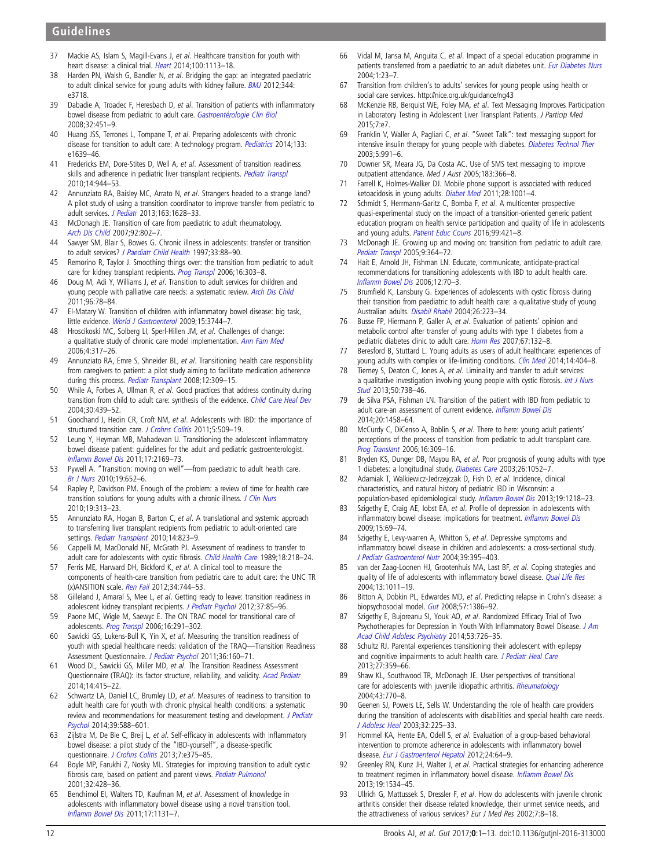# <span id="page-11-0"></span>Guidelines

- 37 Mackie AS, Islam S, Magill-Evans J, et al. Healthcare transition for youth with heart disease: a clinical trial. [Heart](http://dx.doi.org/10.1136/heartjnl-2014-305748) 2014;100:1113-18.
- 38 Harden PN, Walsh G, Bandler N, et al. Bridging the gap: an integrated paediatric to adult clinical service for young adults with kidney failure. **[BMJ](http://dx.doi.org/10.1136/bmj.e3718) 2012**;344: e3718.
- 39 Dabadie A, Troadec F, Heresbach D, et al. Transition of patients with inflammatory bowel disease from pediatric to adult care. [Gastroentérologie Clin Biol](http://dx.doi.org/10.1016/j.gcb.2008.01.044) 2008;32:451–9.
- 40 Huang JSS, Terrones L, Tompane T, et al. Preparing adolescents with chronic disease for transition to adult care: A technology program. [Pediatrics](http://dx.doi.org/10.1542/peds.2013-2830) 2014;133: e1639–46.
- 41 Fredericks EM, Dore-Stites D, Well A, et al. Assessment of transition readiness skills and adherence in pediatric liver transplant recipients. [Pediatr Transpl](http://dx.doi.org/10.1111/j.1399-3046.2010.01349.x) 2010;14:944–53.
- 42 Annunziato RA, Baisley MC, Arrato N, et al. Strangers headed to a strange land? A pilot study of using a transition coordinator to improve transfer from pediatric to adult services. [J Pediatr](http://dx.doi.org/10.1016/j.jpeds.2013.07.031) 2013;163:1628-33.
- 43 McDonagh JE. Transition of care from paediatric to adult rheumatology. [Arch Dis Child](http://dx.doi.org/10.1136/adc.2006.103796) 2007;92:802–7.
- 44 Sawyer SM, Blair S, Bowes G. Chronic illness in adolescents: transfer or transition to adult services? [J Paediatr Child Health](http://dx.doi.org/10.1111/j.1440-1754.1997.tb01005.x) 1997;33:88-90.
- 45 Remorino R, Taylor J. Smoothing things over: the transition from pediatric to adult care for kidney transplant recipients. [Prog Transpl](http://dx.doi.org/10.1177/152692480601600404) 2006;16:303-8.
- 46 Doug M, Adi Y, Williams J, et al. Transition to adult services for children and young people with palliative care needs: a systematic review. [Arch Dis Child](http://dx.doi.org/10.1136/adc.2009.163931) 2011;96:78–84.
- 47 El-Matary W. Transition of children with inflammatory bowel disease: big task, little evidence. [World J Gastroenterol](http://dx.doi.org/10.3748/wjg.15.3744) 2009;15:3744-7.
- 48 Hroscikoski MC, Solberg LI, Sperl-Hillen JM, et al. Challenges of change: a qualitative study of chronic care model implementation. [Ann Fam Med](http://dx.doi.org/10.1370/afm.570) 2006;4:317–26.
- 49 Annunziato RA, Emre S, Shneider BL, et al. Transitioning health care responsibility from caregivers to patient: a pilot study aiming to facilitate medication adherence during this process. [Pediatr Transplant](http://dx.doi.org/10.1111/j.1399-3046.2007.00789.x) 2008;12:309-15.
- 50 While A, Forbes A, Ullman R, et al. Good practices that address continuity during transition from child to adult care: synthesis of the evidence. [Child Care Heal Dev](http://dx.doi.org/10.1111/j.1365-2214.2004.00440.x) 2004;30:439–52.
- 51 Goodhand J, Hedin CR, Croft NM, et al. Adolescents with IBD: the importance of structured transition care. [J Crohns Colitis](http://dx.doi.org/10.1016/j.crohns.2011.03.015) 2011;5:509-19.
- 52 Leung Y, Heyman MB, Mahadevan U. Transitioning the adolescent inflammatory bowel disease patient: guidelines for the adult and pediatric gastroenterologist. Infl[amm Bowel Dis](http://dx.doi.org/10.1002/ibd.21576) 2011;17:2169–73.
- 53 Pywell A. "Transition: moving on well"—from paediatric to adult health care. [Br J Nurs](http://dx.doi.org/10.12968/bjon.2010.19.10.48205) 2010;19:652–6.
- 54 Rapley P, Davidson PM. Enough of the problem: a review of time for health care transition solutions for young adults with a chronic illness. [J Clin Nurs](http://dx.doi.org/10.1111/j.1365-2702.2009.03027.x) 2010;19:313–23.
- 55 Annunziato RA, Hogan B, Barton C, et al. A translational and systemic approach to transferring liver transplant recipients from pediatric to adult-oriented care settings. [Pediatr Transplant](http://dx.doi.org/10.1111/j.1399-3046.2010.01348.x) 2010;14:823-9.
- 56 Cappelli M, MacDonald NE, McGrath PJ. Assessment of readiness to transfer to adult care for adolescents with cystic fibrosis. [Child Health Care](http://dx.doi.org/10.1207/s15326888chc1804_4) 1989;18:218–24.
- 57 Ferris ME, Harward DH, Bickford K, et al. A clinical tool to measure the components of health-care transition from pediatric care to adult care: the UNC TR (x)ANSITION scale. [Ren Fail](http://dx.doi.org/10.3109/0886022X.2012.678171) 2012;34:744-53.
- 58 Gilleland J, Amaral S, Mee L, et al. Getting ready to leave: transition readiness in adolescent kidney transplant recipients. [J Pediatr Psychol](http://dx.doi.org/10.1093/jpepsy/jsr049) 2012;37:85-96.
- 59 Paone MC, Wigle M, Saewyc E. The ON TRAC model for transitional care of adolescents. [Prog Transpl](http://dx.doi.org/10.1177/152692480601600403) 2006;16:291-302.
- 60 Sawicki GS, Lukens-Bull K, Yin X, et al. Measuring the transition readiness of youth with special healthcare needs: validation of the TRAQ—Transition Readiness Assessment Questionnaire. [J Pediatr Psychol](http://dx.doi.org/10.1093/jpepsy/jsp128) 2011;36:160–71.
- 61 Wood DL, Sawicki GS, Miller MD, et al. The Transition Readiness Assessment Questionnaire (TRAQ): its factor structure, reliability, and validity. [Acad Pediatr](http://dx.doi.org/10.1016/j.acap.2014.03.008) 2014;14:415–22.
- 62 Schwartz LA, Daniel LC, Brumley LD, et al. Measures of readiness to transition to adult health care for youth with chronic physical health conditions: a systematic review and recommendations for measurement testing and development. *[J Pediatr](http://dx.doi.org/10.1093/jpepsy/jsu028)* [Psychol](http://dx.doi.org/10.1093/jpepsy/jsu028) 2014;39:588–601.
- 63 Zijlstra M, De Bie C, Breij L, et al. Self-efficacy in adolescents with inflammatory bowel disease: a pilot study of the "IBD-yourself", a disease-specific questionnaire. [J Crohns Colitis](http://dx.doi.org/10.1016/j.crohns.2013.02.017) 2013;7:e375-85.
- 64 Boyle MP, Farukhi Z, Nosky ML. Strategies for improving transition to adult cystic fibrosis care, based on patient and parent views. [Pediatr Pulmonol](http://dx.doi.org/10.1002/ppul.1154) 2001;32:428–36.
- 65 Benchimol EI, Walters TD, Kaufman M, et al. Assessment of knowledge in adolescents with inflammatory bowel disease using a novel transition tool. Infl[amm Bowel Dis](http://dx.doi.org/10.1002/ibd.21464) 2011;17:1131–7.
- 66 Vidal M, Jansa M, Anguita C, et al. Impact of a special education programme in patients transferred from a paediatric to an adult diabetes unit. [Eur Diabetes Nurs](http://dx.doi.org/10.1002/edn.5) 2004;1:23–7.
- 67 Transition from children's to adults' services for young people using health or social care services.<http://nice.org.uk/guidance/ng43>
- 68 McKenzie RB, Berquist WE, Foley MA, et al. Text Messaging Improves Participation in Laboratory Testing in Adolescent Liver Transplant Patients. J Particip Med 2015;7:e7.
- 69 Franklin V, Waller A, Pagliari C, et al. "Sweet Talk": text messaging support for intensive insulin therapy for young people with diabetes. [Diabetes Technol Ther](http://dx.doi.org/10.1089/152091503322641042) 2003;5:991–6.
- 70 Downer SR, Meara JG, Da Costa AC. Use of SMS text messaging to improve outpatient attendance. Med J Aust 2005;183:366–8.
- 71 Farrell K, Holmes-Walker DJ. Mobile phone support is associated with reduced ketoacidosis in young adults. [Diabet Med](http://dx.doi.org/10.1111/j.1464-5491.2011.03302.x) 2011;28:1001–4.
- 72 Schmidt S, Herrmann-Garitz C, Bomba F, et al. A multicenter prospective quasi-experimental study on the impact of a transition-oriented generic patient education program on health service participation and quality of life in adolescents and young adults. [Patient Educ Couns](http://dx.doi.org/10.1016/j.pec.2015.10.024) 2016;99:421-8.
- 73 McDonagh JE. Growing up and moving on: transition from pediatric to adult care. [Pediatr Transpl](http://dx.doi.org/10.1111/j.1399-3046.2004.00287.x) 2005;9:364–72.
- 74 Hait E, Arnold JH, Fishman LN. Educate, communicate, anticipate-practical recommendations for transitioning adolescents with IBD to adult health care. Infl[amm Bowel Dis](http://dx.doi.org/10.1097/01.MIB.0000194182.85047.6a) 2006;12:70–3.
- 75 Brumfield K, Lansbury G. Experiences of adolescents with cystic fibrosis during their transition from paediatric to adult health care: a qualitative study of young Australian adults. [Disabil Rhabil](http://dx.doi.org/10.1080/09638280310001644924) 2004;26:223–34.
- 76 Busse FP, Hiermann P, Galler A, et al. Evaluation of patients' opinion and metabolic control after transfer of young adults with type 1 diabetes from a pediatric diabetes clinic to adult care. [Horm Res](http://dx.doi.org/10.1159/000096583) 2007;67:132-8.
- 77 Beresford B, Stuttard L. Young adults as users of adult healthcare: experiences of young adults with complex or life-limiting conditions. [Clin Med](http://dx.doi.org/10.7861/clinmedicine.14-4-404) 2014;14:404-8.
- 78 Tierney S, Deaton C, Jones A, et al. Liminality and transfer to adult services: a qualitative investigation involving young people with cystic fibrosis. [Int J Nurs](http://dx.doi.org/10.1016/j.ijnurstu.2012.04.014) [Stud](http://dx.doi.org/10.1016/j.ijnurstu.2012.04.014) 2013;50:738–46.
- 79 de Silva PSA, Fishman LN. Transition of the patient with IBD from pediatric to adult care-an assessment of current evidence. Infl[amm Bowel Dis](http://dx.doi.org/10.1097/MIB.0000000000000045) 2014;20:1458–64.
- 80 McCurdy C, DiCenso A, Boblin S, et al. There to here: young adult patients' perceptions of the process of transition from pediatric to adult transplant care. [Prog Translant](http://dx.doi.org/10.1177/152692480601600405) 2006;16:309–16.
- 81 Bryden KS, Dunger DB, Mayou RA, et al. Poor prognosis of young adults with type 1 diabetes: a longitudinal study. [Diabetes Care](http://dx.doi.org/10.2337/diacare.26.4.1052) 2003;26:1052–7.
- 82 Adamiak T, Walkiewicz-Jedrzejczak D, Fish D, et al. Incidence, clinical characteristics, and natural history of pediatric IBD in Wisconsin: a population-based epidemiological study. Infl[amm Bowel Dis](http://dx.doi.org/10.1097/MIB.0b013e318280b13e) 2013;19:1218-23.
- 83 Szigethy E, Craig AE, Iobst EA, et al. Profile of depression in adolescents with inflammatory bowel disease: implications for treatment. Infl[amm Bowel Dis](http://dx.doi.org/10.1002/ibd.20693) 2009;15:69–74.
- 84 Szigethy E, Levy-warren A, Whitton S, et al. Depressive symptoms and inflammatory bowel disease in children and adolescents: a cross-sectional study. [J Pediatr Gastroenterol Nutr](http://dx.doi.org/10.1097/00005176-200410000-00017) 2004;39:395–403.
- 85 van der Zaag-Loonen HJ, Grootenhuis MA, Last BF, et al. Coping strategies and quality of life of adolescents with inflammatory bowel disease. [Qual Life Res](http://dx.doi.org/10.1023/B:QURE.0000025598.89003.0c) 2004;13:1011–19.
- 86 Bitton A, Dobkin PL, Edwardes MD, et al. Predicting relapse in Crohn's disease: a biopsychosocial model. [Gut](http://dx.doi.org/10.1136/gut.2007.134817) 2008;57:1386-92.
- 87 Szigethy E, Bujoreanu SI, Youk AO, et al. Randomized Efficacy Trial of Two Psychotherapies for Depression in Youth With Inflammatory Bowel Disease. [J Am](http://dx.doi.org/10.1016/j.jaac.2014.04.014) [Acad Child Adolesc Psychiatry](http://dx.doi.org/10.1016/j.jaac.2014.04.014) 2014;53:726–35.
- 88 Schultz RJ. Parental experiences transitioning their adolescent with epilepsy and cognitive impairments to adult health care. [J Pediatr Heal Care](http://dx.doi.org/10.1016/j.pedhc.2012.03.004) 2013;27:359–66.
- 89 Shaw KL, Southwood TR, McDonagh JE. User perspectives of transitional care for adolescents with juvenile idiopathic arthritis. [Rheumatology](http://dx.doi.org/10.1093/rheumatology/keh175) 2004;43:770–8.
- 90 Geenen SJ, Powers LE, Sells W. Understanding the role of health care providers during the transition of adolescents with disabilities and special health care needs. [J Adolesc Heal](http://dx.doi.org/10.1016/S1054-139X(02)00396-8) 2003;32:225–33.
- 91 Hommel KA, Hente EA, Odell S, et al. Evaluation of a group-based behavioral intervention to promote adherence in adolescents with inflammatory bowel disease. [Eur J Gastroenterol Hepatol](http://dx.doi.org/10.1097/MEG.0b013e32834d09f1) 2012;24:64-9.
- 92 Greenley RN, Kunz JH, Walter J, et al. Practical strategies for enhancing adherence to treatment regimen in inflammatory bowel disease. Infl[amm Bowel Dis](http://dx.doi.org/10.1097/MIB.0b013e3182813482) 2013;19:1534–45.
- 93 Ullrich G, Mattussek S, Dressler F, et al. How do adolescents with juvenile chronic arthritis consider their disease related knowledge, their unmet service needs, and the attractiveness of various services? Eur J Med Res 2002;7:8–18.